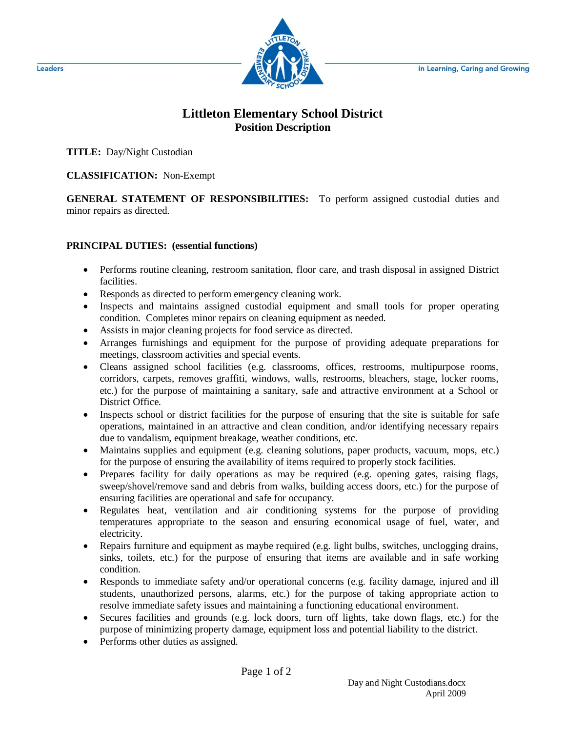

## **Littleton Elementary School District Position Description**

**TITLE:** Day/Night Custodian

**CLASSIFICATION:** Non-Exempt

**GENERAL STATEMENT OF RESPONSIBILITIES:** To perform assigned custodial duties and minor repairs as directed.

## **PRINCIPAL DUTIES: (essential functions)**

- Performs routine cleaning, restroom sanitation, floor care, and trash disposal in assigned District facilities.
- Responds as directed to perform emergency cleaning work.
- Inspects and maintains assigned custodial equipment and small tools for proper operating condition. Completes minor repairs on cleaning equipment as needed.
- Assists in major cleaning projects for food service as directed.
- Arranges furnishings and equipment for the purpose of providing adequate preparations for meetings, classroom activities and special events.
- Cleans assigned school facilities (e.g. classrooms, offices, restrooms, multipurpose rooms, corridors, carpets, removes graffiti, windows, walls, restrooms, bleachers, stage, locker rooms, etc.) for the purpose of maintaining a sanitary, safe and attractive environment at a School or District Office.
- Inspects school or district facilities for the purpose of ensuring that the site is suitable for safe operations, maintained in an attractive and clean condition, and/or identifying necessary repairs due to vandalism, equipment breakage, weather conditions, etc.
- Maintains supplies and equipment (e.g. cleaning solutions, paper products, vacuum, mops, etc.) for the purpose of ensuring the availability of items required to properly stock facilities.
- Prepares facility for daily operations as may be required (e.g. opening gates, raising flags, sweep/shovel/remove sand and debris from walks, building access doors, etc.) for the purpose of ensuring facilities are operational and safe for occupancy.
- Regulates heat, ventilation and air conditioning systems for the purpose of providing temperatures appropriate to the season and ensuring economical usage of fuel, water, and electricity.
- Repairs furniture and equipment as maybe required (e.g. light bulbs, switches, unclogging drains, sinks, toilets, etc.) for the purpose of ensuring that items are available and in safe working condition.
- Responds to immediate safety and/or operational concerns (e.g. facility damage, injured and ill students, unauthorized persons, alarms, etc.) for the purpose of taking appropriate action to resolve immediate safety issues and maintaining a functioning educational environment.
- Secures facilities and grounds (e.g. lock doors, turn off lights, take down flags, etc.) for the purpose of minimizing property damage, equipment loss and potential liability to the district.
- Performs other duties as assigned.

**Leaders**